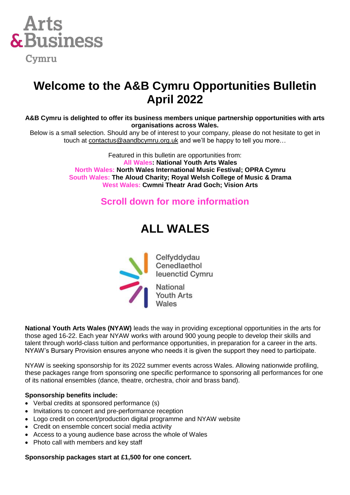

### **Welcome to the A&B Cymru Opportunities Bulletin April 2022**

**A&B Cymru is delighted to offer its business members unique partnership opportunities with arts organisations across Wales.** 

Below is a small selection. Should any be of interest to your company, please do not hesitate to get in touch at [contactus@aandbcymru.org.uk](mailto:contactus@aandbcymru.org.uk) and we'll be happy to tell you more…

> Featured in this bulletin are opportunities from: **All Wales: National Youth Arts Wales North Wales: North Wales International Music Festival; OPRA Cymru South Wales: The Aloud Charity; Royal Welsh College of Music & Drama West Wales: Cwmni Theatr Arad Goch; Vision Arts**

### **Scroll down for more information**

### **ALL WALES**



**National Youth Arts Wales (NYAW)** leads the way in providing exceptional opportunities in the arts for those aged 16-22. Each year NYAW works with around 900 young people to develop their skills and talent through world-class tuition and performance opportunities, in preparation for a career in the arts. NYAW's Bursary Provision ensures anyone who needs it is given the support they need to participate.

NYAW is seeking sponsorship for its 2022 summer events across Wales. Allowing nationwide profiling, these packages range from sponsoring one specific performance to sponsoring all performances for one of its national ensembles (dance, theatre, orchestra, choir and brass band).

### **Sponsorship benefits include:**

- Verbal credits at sponsored performance (s)
- Invitations to concert and pre-performance reception
- Logo credit on concert/production digital programme and NYAW website
- Credit on ensemble concert social media activity
- Access to a young audience base across the whole of Wales
- Photo call with members and key staff

**Sponsorship packages start at £1,500 for one concert.**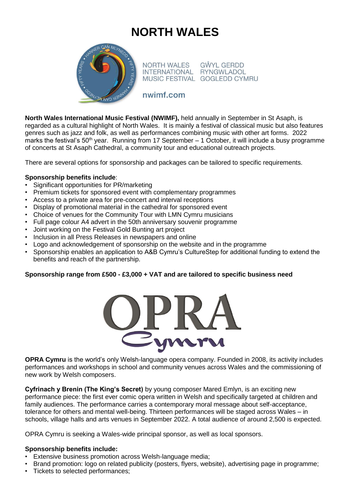# **NORTH WALES**



NORTH WALES INTERNATIONAL RYNGWLADOL MUSIC FESTIVAL GOGLEDD CYMRU

**GŴYL GERDD** 

### nwimf.com

**North Wales International Music Festival (NWIMF),** held annually in September in St Asaph, is regarded as a cultural highlight of North Wales. It is mainly a festival of classical music but also features genres such as jazz and folk, as well as performances combining music with other art forms. 2022 marks the festival's 50<sup>th</sup> year. Running from 17 September – 1 October, it will include a busy programme of concerts at St Asaph Cathedral, a community tour and educational outreach projects.

There are several options for sponsorship and packages can be tailored to specific requirements.

### **Sponsorship benefits include**:

- Significant opportunities for PR/marketing
- Premium tickets for sponsored event with complementary programmes
- Access to a private area for pre-concert and interval receptions
- Display of promotional material in the cathedral for sponsored event
- Choice of venues for the Community Tour with LMN Cymru musicians
- Full page colour A4 advert in the 50th anniversary souvenir programme
- Joint working on the Festival Gold Bunting art project
- Inclusion in all Press Releases in newspapers and online
- Logo and acknowledgement of sponsorship on the website and in the programme
- Sponsorship enables an application to A&B Cymru's CultureStep for additional funding to extend the benefits and reach of the partnership.

### **Sponsorship range from £500 - £3,000 + VAT and are tailored to specific business need**



**OPRA Cymru** is the world's only Welsh-language opera company. Founded in 2008, its activity includes performances and workshops in school and community venues across Wales and the commissioning of new work by Welsh composers.

**Cyfrinach y Brenin (The King's Secret)** by young composer Mared Emlyn, is an exciting new performance piece: the first ever comic opera written in Welsh and specifically targeted at children and family audiences. The performance carries a contemporary moral message about self-acceptance, tolerance for others and mental well-being. Thirteen performances will be staged across Wales – in schools, village halls and arts venues in September 2022. A total audience of around 2,500 is expected.

OPRA Cymru is seeking a Wales-wide principal sponsor, as well as local sponsors.

### **Sponsorship benefits include:**

- Extensive business promotion across Welsh-language media;
- Brand promotion: logo on related publicity (posters, flyers, website), advertising page in programme;
- Tickets to selected performances;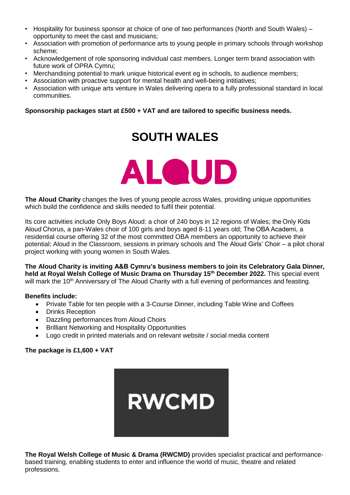- Hospitality for business sponsor at choice of one of two performances (North and South Wales) opportunity to meet the cast and musicians;
- Association with promotion of performance arts to young people in primary schools through workshop scheme;
- Acknowledgement of role sponsoring individual cast members. Longer term brand association with future work of OPRA Cymru;
- Merchandising potential to mark unique historical event eg in schools, to audience members;
- Association with proactive support for mental health and well-being intitiatives;
- Association with unique arts venture in Wales delivering opera to a fully professional standard in local communities.

### **Sponsorship packages start at £500 + VAT and are tailored to specific business needs.**

## **SOUTH WALES**



**The Aloud Charity** changes the lives of young people across Wales, providing unique opportunities which build the confidence and skills needed to fulfil their potential.

Its core activities include Only Boys Aloud: a choir of 240 boys in 12 regions of Wales; the Only Kids Aloud Chorus, a pan-Wales choir of 100 girls and boys aged 8-11 years old; The OBA Academi, a residential course offering 32 of the most committed OBA members an opportunity to achieve their potential; Aloud in the Classroom, sessions in primary schools and The Aloud Girls' Choir – a pilot choral project working with young women in South Wales.

**The Aloud Charity is inviting A&B Cymru's business members to join its Celebratory Gala Dinner, held at Royal Welsh College of Music Drama on Thursday 15th December 2022.** This special event will mark the 10<sup>th</sup> Anniversary of The Aloud Charity with a full evening of performances and feasting.

### **Benefits include:**

- Private Table for ten people with a 3-Course Dinner, including Table Wine and Coffees
- Drinks Reception
- Dazzling performances from Aloud Choirs
- Brilliant Networking and Hospitality Opportunities
- Logo credit in printed materials and on relevant website / social media content

### **The package is £1,600 + VAT**



**The Royal Welsh College of Music & Drama (RWCMD)** provides specialist practical and performancebased training, enabling students to enter and influence the world of music, theatre and related professions.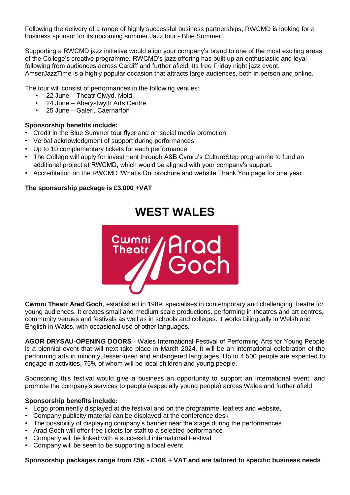Following the delivery of a range of highly successful business partnerships, RWCMD is looking for a business sponsor for its upcoming summer Jazz tour - Blue Summer.

Supporting a RWCMD jazz initiative would align your company's brand to one of the most exciting areas of the College's creative programme. RWCMD's jazz offering has built up an enthusiastic and loyal following from audiences across Cardiff and further afield. Its free Friday night jazz event, AmserJazzTime is a highly popular occasion that attracts large audiences, both in person and online.

The tour will consist of performances in the following venues:

- 22 June Theatr Clwyd, Mold
- 24 June Aberystwyth Arts Centre
- 25 June Galeri, Caernarfon

#### **Sponsorship benefits include:**

- Credit in the Blue Summer tour flyer and on social media promotion
- Verbal acknowledgment of support during performances
- Up to 10 complementary tickets for each performance
- The College will apply for investment through A&B Cymru's CultureStep programme to fund an additional project at RWCMD, which would be aligned with your company's support.
- Accreditation on the RWCMD 'What's On' brochure and website Thank You page for one year

### **The sponsorship package is £3,000 +VAT**

### **WEST WALES**



**Cwmni Theatr Arad Goch**, established in 1989, specialises in contemporary and challenging theatre for young audiences. It creates small and medium scale productions, performing in theatres and art centres, community venues and festivals as well as in schools and colleges. It works bilingually in Welsh and English in Wales, with occasional use of other languages.

**AGOR DRYSAU-OPENING DOORS** - Wales International Festival of Performing Arts for Young People is a biennial event that will next take place in March 2024. It will be an international celebration of the performing arts in minority, lesser-used and endangered languages. Up to 4,500 people are expected to engage in activities, 75% of whom will be local children and young people.

Sponsoring this festival would give a business an opportunity to support an international event, and promote the company's services to people (especially young people) across Wales and further afield

### **Sponsorship benefits include:**

- Logo prominently displayed at the festival and on the programme, leaflets and website,
- Company publicity material can be displayed at the conference desk
- The possibility of displaying company's banner near the stage during the performances
- Arad Goch will offer free tickets for staff to a selected performance
- Company will be linked with a successful international Festival
- Company will be seen to be supporting a local event

#### **Sponsorship packages range from £5K - £10K + VAT and are tailored to specific business needs**